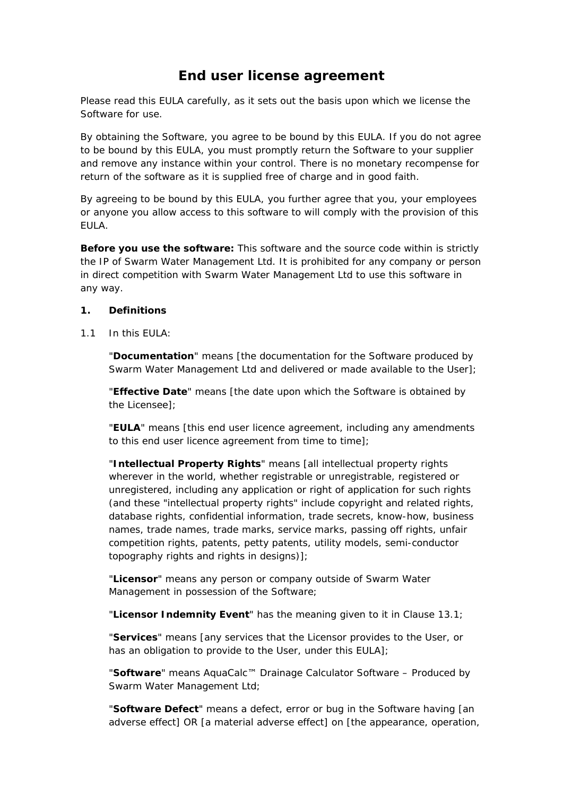# **End user license agreement**

Please read this EULA carefully, as it sets out the basis upon which we license the Software for use.

By obtaining the Software, you agree to be bound by this EULA. If you do not agree to be bound by this EULA, you must promptly return the Software to your supplier and remove any instance within your control. There is no monetary recompense for return of the software as it is supplied free of charge and in good faith.

By agreeing to be bound by this EULA, you further agree that you, your employees or anyone you allow access to this software to will comply with the provision of this EULA.

**Before you use the software:** This software and the source code within is strictly the IP of Swarm Water Management Ltd. It is prohibited for any company or person in direct competition with Swarm Water Management Ltd to use this software in any way.

# **1. Definitions**

1.1 In this  $FIII A<sup>T</sup>$ 

"**Documentation**" means [the documentation for the Software produced by Swarm Water Management Ltd and delivered or made available to the User];

"**Effective Date**" means [the date upon which the Software is obtained by the Licensee];

"**EULA**" means [this end user licence agreement, including any amendments to this end user licence agreement from time to time];

"**Intellectual Property Rights**" means [all intellectual property rights wherever in the world, whether registrable or unregistrable, registered or unregistered, including any application or right of application for such rights (and these "intellectual property rights" include copyright and related rights, database rights, confidential information, trade secrets, know-how, business names, trade names, trade marks, service marks, passing off rights, unfair competition rights, patents, petty patents, utility models, semi-conductor topography rights and rights in designs)];

"**Licensor**" means any person or company outside of Swarm Water Management in possession of the Software;

"**Licensor Indemnity Event**" has the meaning given to it in Clause 13.1;

"**Services**" means [any services that the Licensor provides to the User, or has an obligation to provide to the User, under this EULA];

"**Software**" means *AquaCalc™ Drainage Calculator Software – Produced by Swarm Water Management Ltd;*

"**Software Defect**" means a defect, error or bug in the Software having [an adverse effect] OR [a material adverse effect] on [the appearance, operation,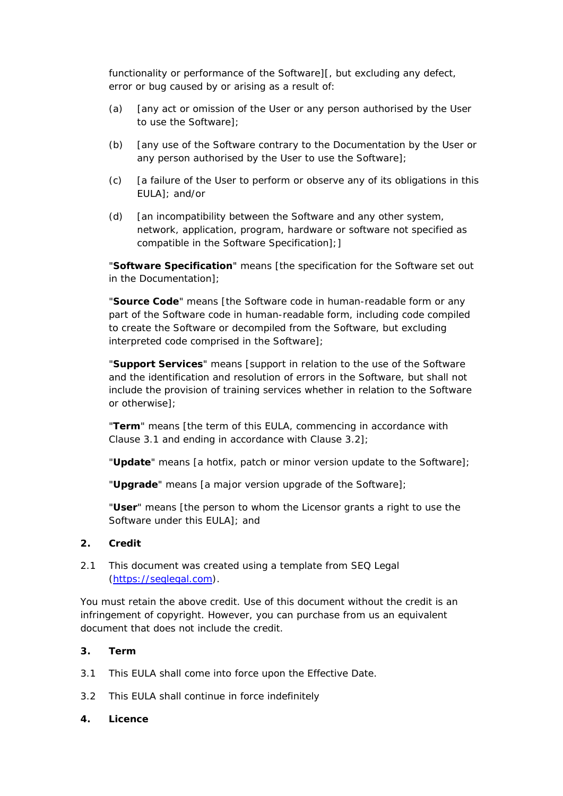functionality or performance of the Software][, but excluding any defect, error or bug caused by or arising as a result of:

- (a) [any act or omission of the User or any person authorised by the User to use the Software];
- (b) [any use of the Software contrary to the Documentation by the User or any person authorised by the User to use the Software];
- (c) [a failure of the User to perform or observe any of its obligations in this EULA]; and/or
- (d) [an incompatibility between the Software and any other system, network, application, program, hardware or software not specified as compatible in the Software Specification];]

"**Software Specification**" means [the specification for the Software set out in the Documentation];

"**Source Code**" means [the Software code in human-readable form or any part of the Software code in human-readable form, including code compiled to create the Software or decompiled from the Software, but excluding interpreted code comprised in the Software];

"**Support Services**" means [support in relation to the use of the Software and the identification and resolution of errors in the Software, but shall not include the provision of training services whether in relation to the Software or otherwise];

"**Term**" means [the term of this EULA, commencing in accordance with Clause 3.1 and ending in accordance with Clause 3.2];

"**Update**" means [a hotfix, patch or minor version update to the Software];

"**Upgrade**" means [a major version upgrade of the Software];

"**User**" means [the person to whom the Licensor grants a right to use the Software under this EULA]; and

#### **2. Credit**

2.1 This document was created using a template from SEQ Legal (https://seqlegal.com).

*You must retain the above credit. Use of this document without the credit is an infringement of copyright. However, you can purchase from us an equivalent document that does not include the credit.*

#### **3. Term**

- 3.1 This EULA shall come into force upon the Effective Date.
- 3.2 This EULA shall continue in force indefinitely

#### **4. Licence**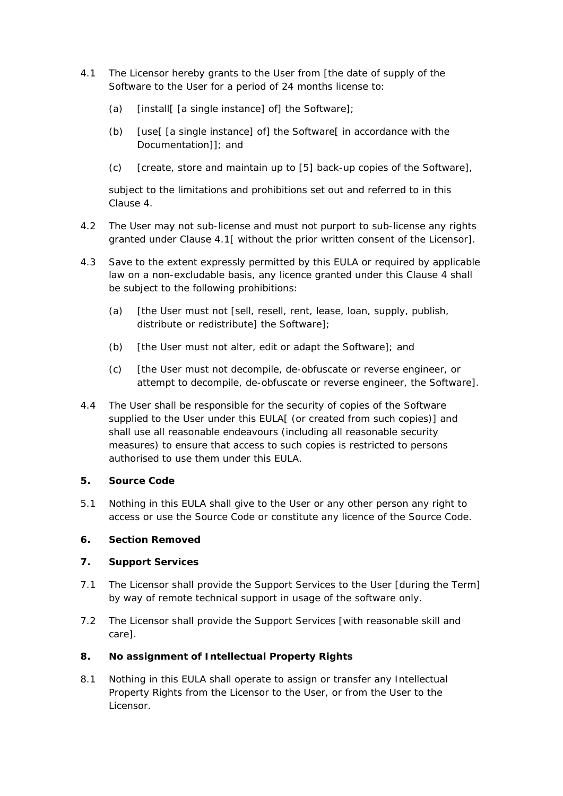- 4.1 The Licensor hereby grants to the User from [the date of supply of the Software to the User for a period of 24 months license to:
	- (a) [install[ [a single instance] of] the Software];
	- (b) [use[ [a single instance] of] the Software[ in accordance with the Documentation]]; and
	- (c) [create, store and maintain up to [5] back-up copies of the Software],

 subject to the limitations and prohibitions set out and referred to in this Clause 4.

- 4.2 The User may not sub-license and must not purport to sub-license any rights granted under Clause 4.1[ without the prior written consent of the Licensor].
- 4.3 Save to the extent expressly permitted by this EULA or required by applicable law on a non-excludable basis, any licence granted under this Clause 4 shall be subject to the following prohibitions:
	- (a) [the User must not [sell, resell, rent, lease, loan, supply, publish, distribute or redistribute] the Software];
	- (b) [the User must not alter, edit or adapt the Software]; and
	- (c) [the User must not decompile, de-obfuscate or reverse engineer, or attempt to decompile, de-obfuscate or reverse engineer, the Software].
- 4.4 The User shall be responsible for the security of copies of the Software supplied to the User under this EULA[ (or created from such copies)] and shall use all reasonable endeavours (including all reasonable security measures) to ensure that access to such copies is restricted to persons authorised to use them under this EULA.

#### **5. Source Code**

5.1 Nothing in this EULA shall give to the User or any other person any right to access or use the Source Code or constitute any licence of the Source Code.

# **6. Section Removed**

# **7. Support Services**

- 7.1 The Licensor shall provide the Support Services to the User [during the Term] by way of remote technical support in usage of the software only.
- 7.2 The Licensor shall provide the Support Services [with reasonable skill and care].

# **8. No assignment of Intellectual Property Rights**

8.1 Nothing in this EULA shall operate to assign or transfer any Intellectual Property Rights from the Licensor to the User, or from the User to the Licensor.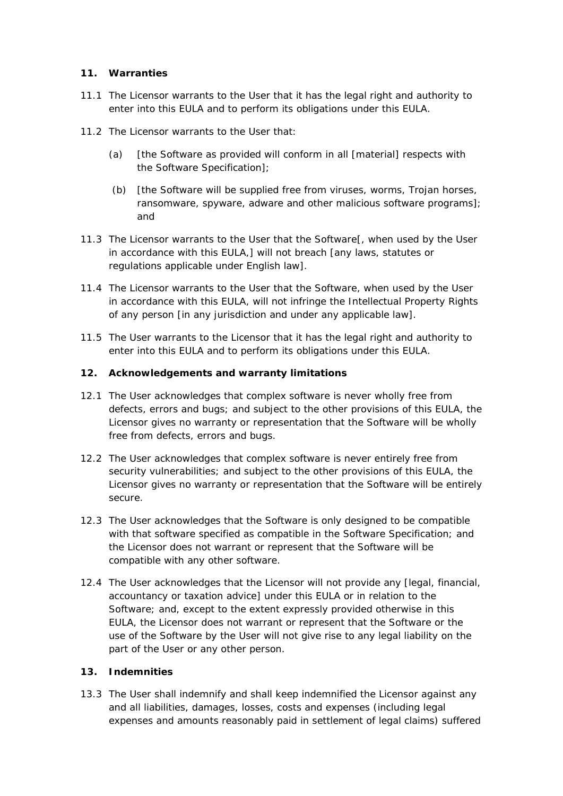# **11. Warranties**

- 11.1 The Licensor warrants to the User that it has the legal right and authority to enter into this EULA and to perform its obligations under this EULA.
- 11.2 The Licensor warrants to the User that:
	- (a) [the Software as provided will conform in all [material] respects with the Software Specification];
	- (b) [the Software will be supplied free from viruses, worms, Trojan horses, ransomware, spyware, adware and other malicious software programs]; and
- 11.3 The Licensor warrants to the User that the Software[, when used by the User in accordance with this EULA,] will not breach [any laws, statutes or regulations applicable under English law].
- 11.4 The Licensor warrants to the User that the Software, when used by the User in accordance with this EULA, will not infringe the Intellectual Property Rights of any person [in any jurisdiction and under any applicable law].
- 11.5 The User warrants to the Licensor that it has the legal right and authority to enter into this EULA and to perform its obligations under this EULA.

# **12. Acknowledgements and warranty limitations**

- 12.1 The User acknowledges that complex software is never wholly free from defects, errors and bugs; and subject to the other provisions of this EULA, the Licensor gives no warranty or representation that the Software will be wholly free from defects, errors and bugs.
- 12.2 The User acknowledges that complex software is never entirely free from security vulnerabilities; and subject to the other provisions of this EULA, the Licensor gives no warranty or representation that the Software will be entirely secure.
- 12.3 The User acknowledges that the Software is only designed to be compatible with that software specified as compatible in the Software Specification; and the Licensor does not warrant or represent that the Software will be compatible with any other software.
- 12.4 The User acknowledges that the Licensor will not provide any [legal, financial, accountancy or taxation advice] under this EULA or in relation to the Software; and, except to the extent expressly provided otherwise in this EULA, the Licensor does not warrant or represent that the Software or the use of the Software by the User will not give rise to any legal liability on the part of the User or any other person.

#### **13. Indemnities**

13.3 The User shall indemnify and shall keep indemnified the Licensor against any and all liabilities, damages, losses, costs and expenses (including legal expenses and amounts reasonably paid in settlement of legal claims) suffered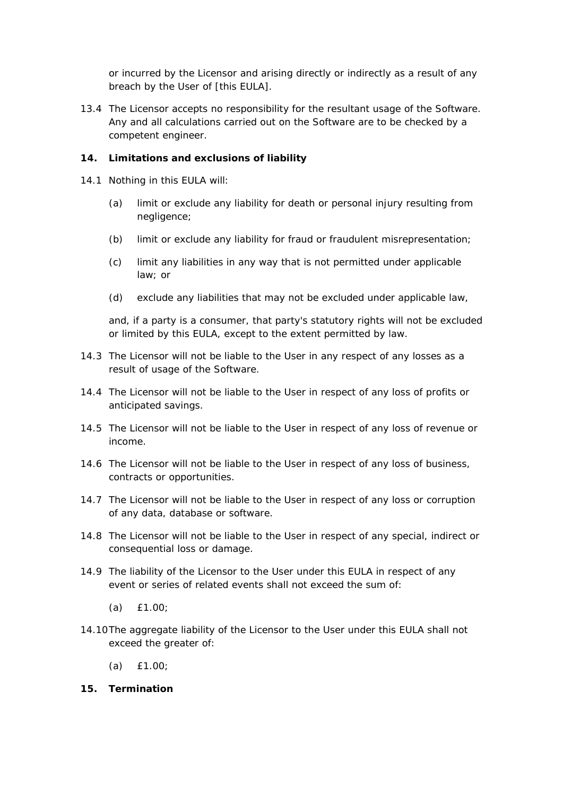or incurred by the Licensor and arising directly or indirectly as a result of any breach by the User of [this EULA].

13.4 The Licensor accepts no responsibility for the resultant usage of the Software. Any and all calculations carried out on the Software are to be checked by a competent engineer.

# **14. Limitations and exclusions of liability**

- 14.1 Nothing in this EULA will:
	- (a) limit or exclude any liability for death or personal injury resulting from negligence;
	- (b) limit or exclude any liability for fraud or fraudulent misrepresentation;
	- (c) limit any liabilities in any way that is not permitted under applicable law; or
	- (d) exclude any liabilities that may not be excluded under applicable law,

 and, if a party is a consumer, that party's statutory rights will not be excluded or limited by this EULA, except to the extent permitted by law.

- 14.3 The Licensor will not be liable to the User in any respect of any losses as a result of usage of the Software.
- 14.4 The Licensor will not be liable to the User in respect of any loss of profits or anticipated savings.
- 14.5 The Licensor will not be liable to the User in respect of any loss of revenue or income.
- 14.6 The Licensor will not be liable to the User in respect of any loss of business, contracts or opportunities.
- 14.7 The Licensor will not be liable to the User in respect of any loss or corruption of any data, database or software.
- 14.8 The Licensor will not be liable to the User in respect of any special, indirect or consequential loss or damage.
- 14.9 The liability of the Licensor to the User under this EULA in respect of any event or series of related events shall not exceed the sum of:
	- (a) *£1.00*;
- 14.10 The aggregate liability of the Licensor to the User under this EULA shall not exceed the greater of:
	- (a) *£1.00*;

#### **15. Termination**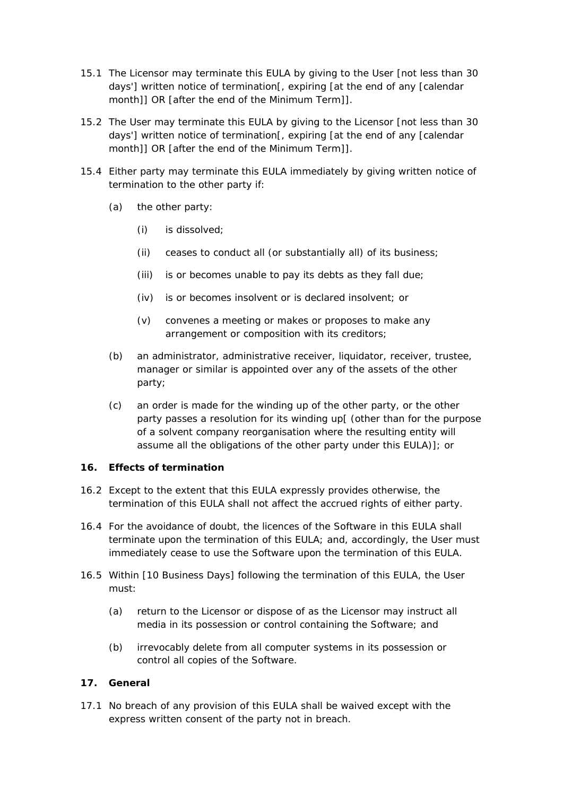- 15.1 The Licensor may terminate this EULA by giving to the User [not less than 30 days'] written notice of termination[, expiring [at the end of any [calendar month]] OR [after the end of the Minimum Term]].
- 15.2 The User may terminate this EULA by giving to the Licensor [not less than 30 days'] written notice of termination[, expiring [at the end of any [calendar month]] OR [after the end of the Minimum Term]].
- 15.4 Either party may terminate this EULA immediately by giving written notice of termination to the other party if:
	- (a) the other party:
		- (i) is dissolved;
		- (ii) ceases to conduct all (or substantially all) of its business;
		- (iii) is or becomes unable to pay its debts as they fall due;
		- (iv) is or becomes insolvent or is declared insolvent; or
		- (v) convenes a meeting or makes or proposes to make any arrangement or composition with its creditors;
	- (b) an administrator, administrative receiver, liquidator, receiver, trustee, manager or similar is appointed over any of the assets of the other party;
	- (c) an order is made for the winding up of the other party, or the other party passes a resolution for its winding up[ (other than for the purpose of a solvent company reorganisation where the resulting entity will assume all the obligations of the other party under this EULA)]; or

#### **16. Effects of termination**

- 16.2 Except to the extent that this EULA expressly provides otherwise, the termination of this EULA shall not affect the accrued rights of either party.
- 16.4 For the avoidance of doubt, the licences of the Software in this EULA shall terminate upon the termination of this EULA; and, accordingly, the User must immediately cease to use the Software upon the termination of this EULA.
- 16.5 Within [10 Business Days] following the termination of this EULA, the User must:
	- (a) return to the Licensor or dispose of as the Licensor may instruct all media in its possession or control containing the Software; and
	- (b) irrevocably delete from all computer systems in its possession or control all copies of the Software.

# **17. General**

17.1 No breach of any provision of this EULA shall be waived except with the express written consent of the party not in breach.